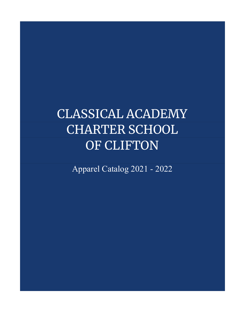## CLASSICAL ACADEMY CHARTER SCHOOL OF CLIFTON

Apparel Catalog 2021 - 2022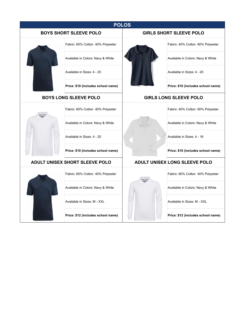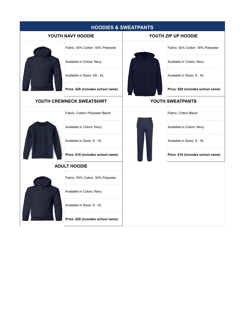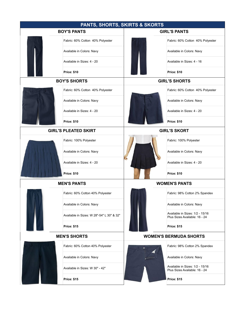| <b>PANTS, SHORTS, SKIRTS &amp; SKORTS</b> |                                           |                               |                                                                  |  |  |
|-------------------------------------------|-------------------------------------------|-------------------------------|------------------------------------------------------------------|--|--|
| <b>BOY'S PANTS</b>                        |                                           | <b>GIRL'S PANTS</b>           |                                                                  |  |  |
|                                           | Fabric: 60% Cotton 40% Polyester          |                               | Fabric: 60% Cotton 40% Polyester                                 |  |  |
|                                           | Available in Colors: Navy                 |                               | Available in Colors: Navy                                        |  |  |
|                                           | Available in Sizes: 4 - 20                |                               | Available in Sizes: 4 - 16                                       |  |  |
|                                           | <b>Price: \$10</b>                        |                               | <b>Price: \$10</b>                                               |  |  |
| <b>BOY'S SHORTS</b>                       |                                           | <b>GIRL'S SHORTS</b>          |                                                                  |  |  |
|                                           | Fabric: 60% Cotton 40% Polyester          |                               | Fabric: 60% Cotton 40% Polyester                                 |  |  |
|                                           | Available in Colors: Navy                 |                               | Available in Colors: Navy                                        |  |  |
|                                           | Available in Sizes: 4 - 20                |                               | Available in Sizes: 4 - 20                                       |  |  |
|                                           | <b>Price: \$10</b>                        |                               | <b>Price: \$10</b>                                               |  |  |
|                                           | <b>GIRL'S PLEATED SKIRT</b>               | <b>GIRL'S SKORT</b>           |                                                                  |  |  |
|                                           | Fabric: 100% Polyester                    |                               | Fabric: 100% Polyester                                           |  |  |
|                                           | Available in Colors: Navy                 |                               | Available in Colors: Navy                                        |  |  |
|                                           | Available in Sizes: 4 - 20                |                               | Available in Sizes: 4 - 20                                       |  |  |
|                                           | <b>Price: \$10</b>                        |                               | <b>Price: \$10</b>                                               |  |  |
|                                           | <b>MEN'S PANTS</b>                        | <b>WOMEN'S PANTS</b>          |                                                                  |  |  |
|                                           | Fabric: 60% Cotton 40% Polyester          |                               | Fabric: 98% Cotton 2% Spandex                                    |  |  |
|                                           | Available in Colors: Navy                 |                               | Available in Colors: Navy                                        |  |  |
|                                           | Available in Sizes: W 28"-54" L 30" & 32" |                               | Available in Sizes: 1/2 - 15/16<br>Plus Sizes Available: 16 - 24 |  |  |
|                                           | <b>Price: \$15</b>                        |                               | <b>Price: \$15</b>                                               |  |  |
| <b>MEN'S SHORTS</b>                       |                                           | <b>WOMEN'S BERMUDA SHORTS</b> |                                                                  |  |  |
|                                           | Fabric: 60% Cotton 40% Polyester          |                               | Fabric: 98% Cotton 2% Spandex                                    |  |  |
|                                           | Available in Colors: Navy                 |                               | Available in Colors: Navy                                        |  |  |
|                                           | Available in Sizes: W 30" - 42"           |                               | Available in Sizes: 1/2 - 15/16<br>Plus Sizes Available: 16 - 24 |  |  |
|                                           | <b>Price: \$15</b>                        |                               | <b>Price: \$15</b>                                               |  |  |